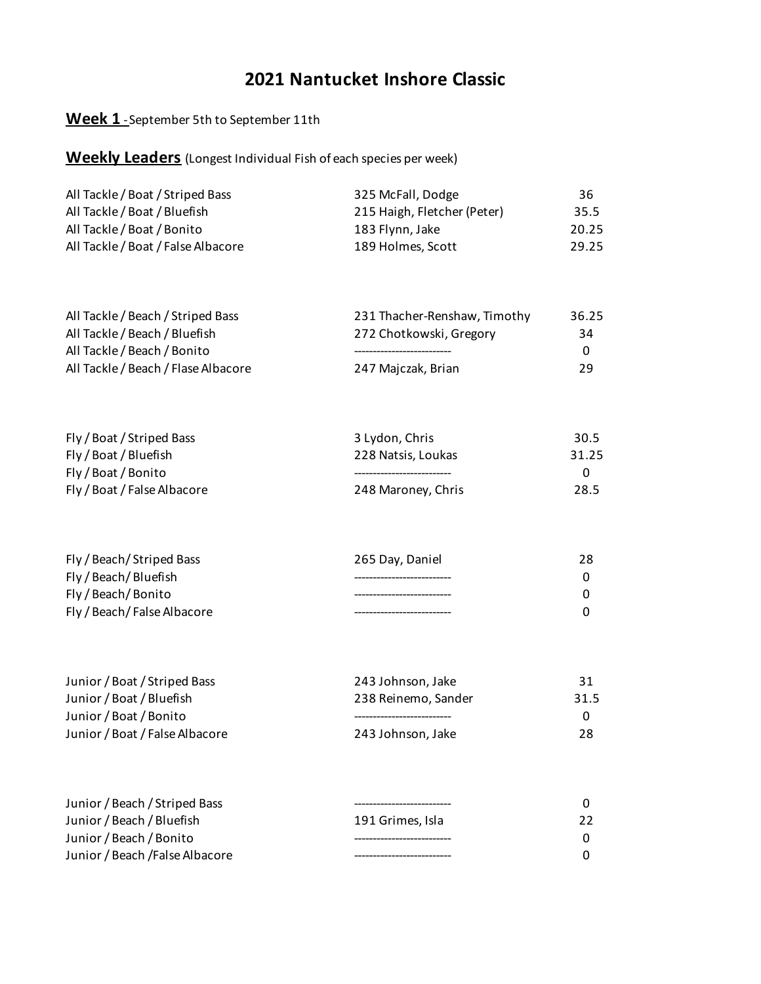### **Week 1** - September 5th to September 11th

| All Tackle / Boat / Striped Bass   | 325 McFall, Dodge           | 36    |
|------------------------------------|-----------------------------|-------|
| All Tackle / Boat / Bluefish       | 215 Haigh, Fletcher (Peter) | 35.5  |
| All Tackle / Boat / Bonito         | 183 Flynn, Jake             | 20.25 |
| All Tackle / Boat / False Albacore | 189 Holmes, Scott           | 29.25 |

| All Tackle / Beach / Striped Bass   | 231 Thacher-Renshaw, Timothy | 36.25 |
|-------------------------------------|------------------------------|-------|
| All Tackle / Beach / Bluefish       | 272 Chotkowski, Gregory      | 34    |
| All Tackle / Beach / Bonito         |                              | -0    |
| All Tackle / Beach / Flase Albacore | 247 Majczak, Brian           | 29    |

| Fly / Boat / Striped Bass   | 3 Lydon, Chris     | 30.5  |
|-----------------------------|--------------------|-------|
| Fly / Boat / Bluefish       | 228 Natsis, Loukas | 31.25 |
| Fly / Boat / Bonito         |                    |       |
| Fly / Boat / False Albacore | 248 Maroney, Chris | 28.5  |

| Fly / Beach/ Striped Bass   | 265 Day, Daniel | 28 |
|-----------------------------|-----------------|----|
| Fly / Beach/Bluefish        |                 |    |
| Fly / Beach/Bonito          |                 |    |
| Fly / Beach/ False Albacore |                 |    |

| Junior / Boat / Striped Bass   | 243 Johnson, Jake   | 31   |
|--------------------------------|---------------------|------|
| Junior / Boat / Bluefish       | 238 Reinemo, Sander | 31.5 |
| Junior / Boat / Bonito         |                     |      |
| Junior / Boat / False Albacore | 243 Johnson, Jake   | 28   |

| Junior / Beach / Striped Bass   |                  |    |
|---------------------------------|------------------|----|
| Junior / Beach / Bluefish       | 191 Grimes. Isla | 22 |
| Junior / Beach / Bonito         |                  | 0  |
| Junior / Beach / False Albacore |                  |    |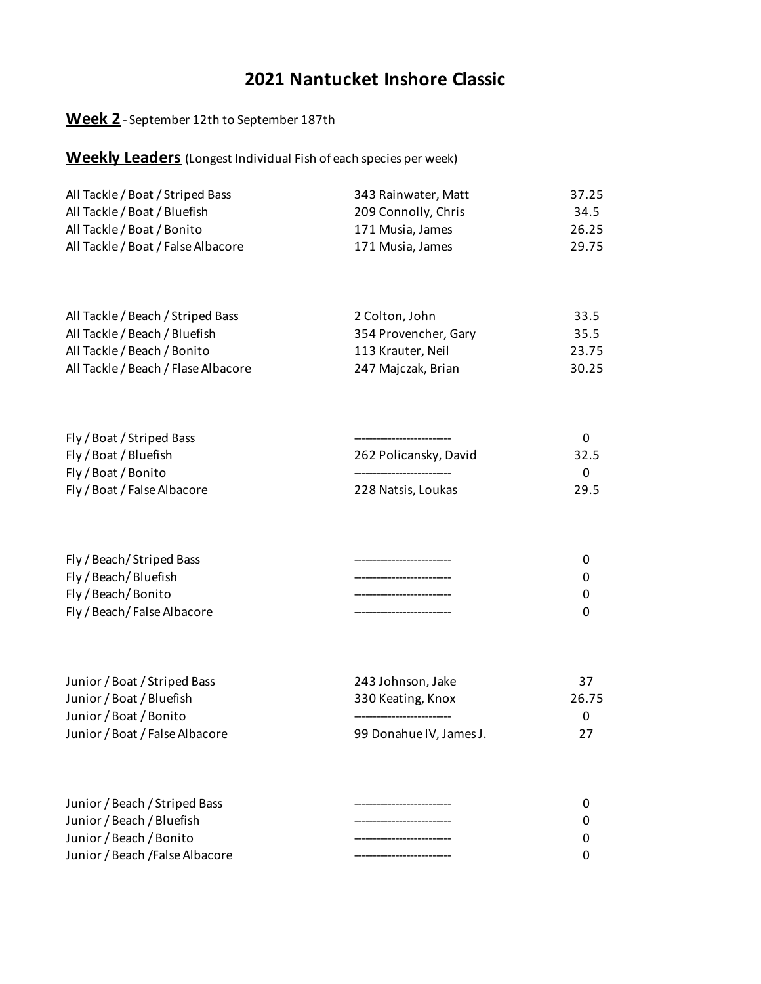### **Week 2** - September 12th to September 187th

| All Tackle / Boat / Striped Bass   | 343 Rainwater, Matt | 37.25 |
|------------------------------------|---------------------|-------|
| All Tackle / Boat / Bluefish       | 209 Connolly, Chris | 34.5  |
| All Tackle / Boat / Bonito         | 171 Musia, James    | 26.25 |
| All Tackle / Boat / False Albacore | 171 Musia, James    | 29.75 |

| All Tackle / Beach / Striped Bass   | 2 Colton, John       | 33.5  |
|-------------------------------------|----------------------|-------|
| All Tackle / Beach / Bluefish       | 354 Provencher, Gary | 35.5  |
| All Tackle / Beach / Bonito         | 113 Krauter. Neil    | 23.75 |
| All Tackle / Beach / Flase Albacore | 247 Majczak, Brian   | 30.25 |

| Fly / Boat / Striped Bass   |                       |      |
|-----------------------------|-----------------------|------|
| Fly / Boat / Bluefish       | 262 Policansky, David | 32.5 |
| Fly / Boat / Bonito         |                       |      |
| Fly / Boat / False Albacore | 228 Natsis, Loukas    | 29.5 |

| Fly / Beach/Striped Bass    |  |
|-----------------------------|--|
| Fly / Beach/Bluefish        |  |
| Fly / Beach/Bonito          |  |
| Fly / Beach/ False Albacore |  |

| Junior / Boat / Striped Bass   | 243 Johnson, Jake       | 37       |
|--------------------------------|-------------------------|----------|
| Junior / Boat / Bluefish       | 330 Keating, Knox       | 26.75    |
| Junior / Boat / Bonito         |                         | $\Omega$ |
| Junior / Boat / False Albacore | 99 Donahue IV, James J. | 27       |

| Junior / Beach / Striped Bass   |  |
|---------------------------------|--|
| Junior / Beach / Bluefish       |  |
| Junior / Beach / Bonito         |  |
| Junior / Beach / False Albacore |  |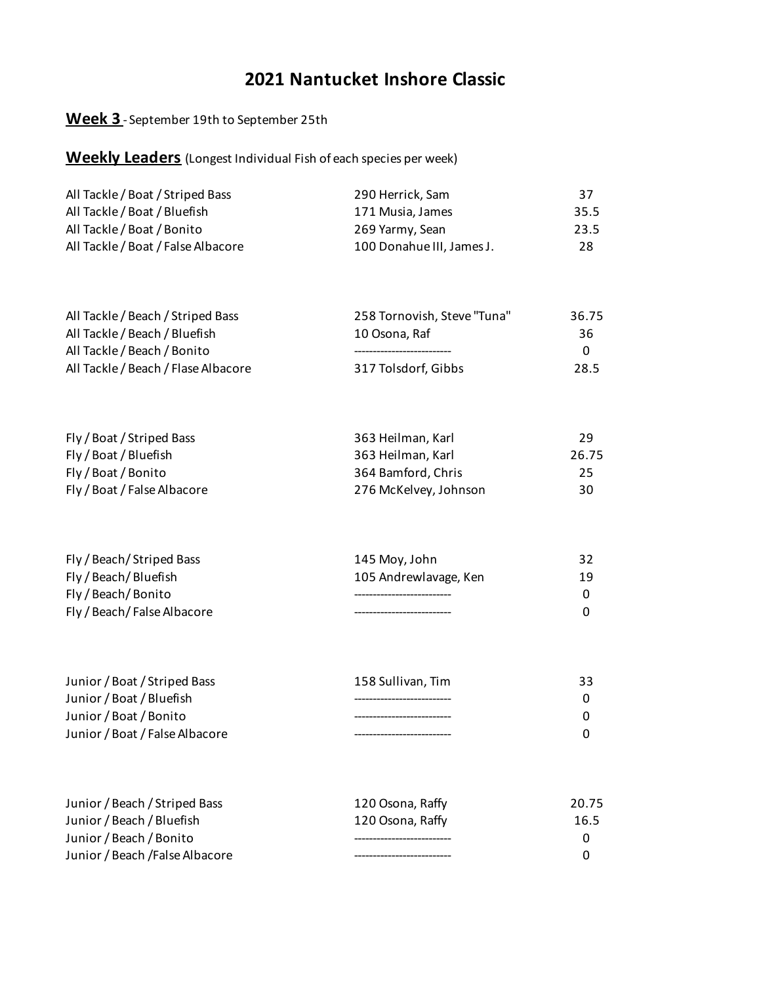### **Week 3** - September 19th to September 25th

| All Tackle / Boat / Striped Bass   | 290 Herrick, Sam          | 37   |
|------------------------------------|---------------------------|------|
| All Tackle / Boat / Bluefish       | 171 Musia, James          | 35.5 |
| All Tackle / Boat / Bonito         | 269 Yarmy, Sean           | 23.5 |
| All Tackle / Boat / False Albacore | 100 Donahue III, James J. | 28   |

| All Tackle / Beach / Striped Bass   | 258 Tornovish, Steve "Tuna" | 36.75    |
|-------------------------------------|-----------------------------|----------|
| All Tackle / Beach / Bluefish       | 10 Osona. Raf               | 36       |
| All Tackle / Beach / Bonito         |                             | $\Omega$ |
| All Tackle / Beach / Flase Albacore | 317 Tolsdorf, Gibbs         | 28.5     |

| Fly / Boat / Striped Bass   | 363 Heilman, Karl     | 29    |
|-----------------------------|-----------------------|-------|
| Fly / Boat / Bluefish       | 363 Heilman, Karl     | 26.75 |
| Fly / Boat / Bonito         | 364 Bamford, Chris    | 25    |
| Fly / Boat / False Albacore | 276 McKelvey, Johnson | 30    |

| Fly / Beach/ Striped Bass   | 145 Moy, John         |    |
|-----------------------------|-----------------------|----|
| Fly / Beach/Bluefish        | 105 Andrewlavage, Ken | 19 |
| Fly / Beach/Bonito          |                       |    |
| Fly / Beach/ False Albacore |                       |    |

| Junior / Boat / Striped Bass   | 158 Sullivan, Tim | 33 |
|--------------------------------|-------------------|----|
| Junior / Boat / Bluefish       |                   |    |
| Junior / Boat / Bonito         |                   |    |
| Junior / Boat / False Albacore |                   |    |

| Junior / Beach / Striped Bass   | 120 Osona, Raffy | 20.75 |
|---------------------------------|------------------|-------|
| Junior / Beach / Bluefish       | 120 Osona, Raffy | 16.5  |
| Junior / Beach / Bonito         |                  | n     |
| Junior / Beach / False Albacore |                  | n     |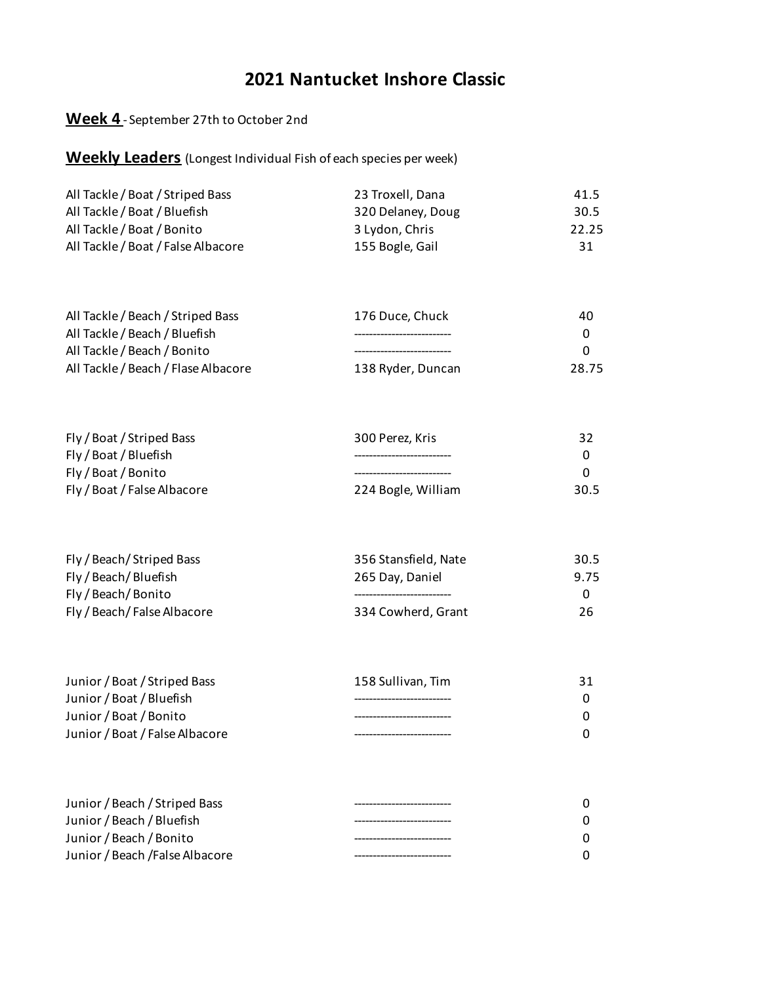### **Week 4** - September 27th to October 2nd

| All Tackle / Boat / Striped Bass   | 23 Troxell, Dana  | 41.5  |
|------------------------------------|-------------------|-------|
|                                    |                   |       |
| All Tackle / Boat / Bluefish       | 320 Delaney, Doug | 30.5  |
| All Tackle / Boat / Bonito         | 3 Lydon, Chris    | 22.25 |
| All Tackle / Boat / False Albacore | 155 Bogle, Gail   | 31    |

| All Tackle / Beach / Striped Bass   | 176 Duce. Chuck   | 40           |
|-------------------------------------|-------------------|--------------|
| All Tackle / Beach / Bluefish       |                   | 0            |
| All Tackle / Beach / Bonito         |                   | <sup>0</sup> |
| All Tackle / Beach / Flase Albacore | 138 Ryder, Duncan | 28.75        |

| Fly / Boat / Striped Bass   | 300 Perez. Kris    | 32   |
|-----------------------------|--------------------|------|
| Fly / Boat / Bluefish       |                    |      |
| Fly / Boat / Bonito         |                    |      |
| Fly / Boat / False Albacore | 224 Bogle, William | 30.5 |

| Fly / Beach/Striped Bass    | 356 Stansfield, Nate | 30.5 |
|-----------------------------|----------------------|------|
| Fly / Beach / Bluefish      | 265 Day, Daniel      | 9.75 |
| Fly / Beach/Bonito          |                      |      |
| Fly / Beach/ False Albacore | 334 Cowherd, Grant   | 26   |

| Junior / Boat / Striped Bass   | 158 Sullivan, Tim | 31 |
|--------------------------------|-------------------|----|
| Junior / Boat / Bluefish       |                   | 0  |
| Junior / Boat / Bonito         |                   | 0  |
| Junior / Boat / False Albacore |                   | 0  |
|                                |                   |    |

| Junior / Beach / Striped Bass   |  |
|---------------------------------|--|
| Junior / Beach / Bluefish       |  |
| Junior / Beach / Bonito         |  |
| Junior / Beach / False Albacore |  |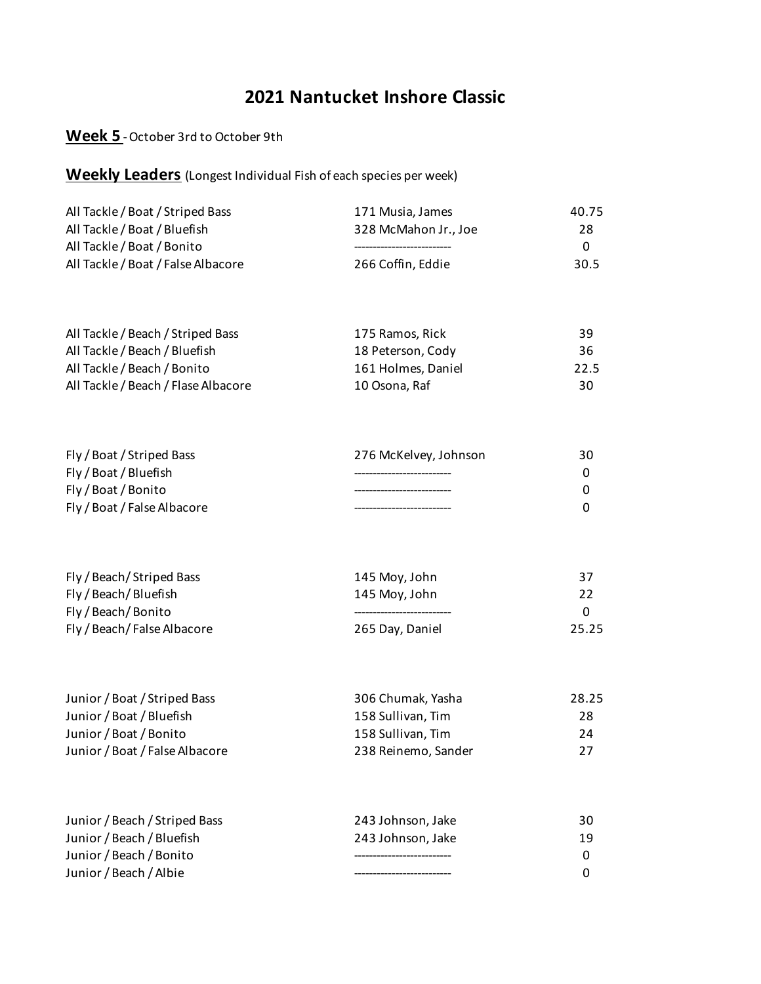#### **Week 5** - October 3rd to October 9th

| All Tackle / Boat / Striped Bass   | 171 Musia, James     | 40.75    |
|------------------------------------|----------------------|----------|
| All Tackle / Boat / Bluefish       | 328 McMahon Jr., Joe | 28       |
| All Tackle / Boat / Bonito         |                      | $\Omega$ |
| All Tackle / Boat / False Albacore | 266 Coffin. Eddie    | 30.5     |

| All Tackle / Beach / Striped Bass   | 175 Ramos, Rick    | 39   |
|-------------------------------------|--------------------|------|
| All Tackle / Beach / Bluefish       | 18 Peterson, Cody  | 36   |
| All Tackle / Beach / Bonito         | 161 Holmes, Daniel | 22.5 |
| All Tackle / Beach / Flase Albacore | 10 Osona, Raf      | 30   |

| Fly / Boat / Striped Bass   | 276 McKelvey, Johnson | 30 |
|-----------------------------|-----------------------|----|
| Fly / Boat / Bluefish       |                       |    |
| Fly / Boat / Bonito         |                       |    |
| Fly / Boat / False Albacore |                       |    |

| Fly / Beach/Striped Bass    | 145 Moy, John   | -37   |
|-----------------------------|-----------------|-------|
| Fly / Beach/Bluefish        | 145 Moy, John   | 22    |
| Fly/Beach/Bonito            |                 |       |
| Fly / Beach/ False Albacore | 265 Day, Daniel | 25.25 |

| Junior / Boat / Striped Bass   | 306 Chumak, Yasha   | 28.25 |
|--------------------------------|---------------------|-------|
| Junior / Boat / Bluefish       | 158 Sullivan, Tim   | 28    |
| Junior / Boat / Bonito         | 158 Sullivan, Tim   | 24    |
| Junior / Boat / False Albacore | 238 Reinemo, Sander | 27    |

| Junior / Beach / Striped Bass | 243 Johnson, Jake | 30 |
|-------------------------------|-------------------|----|
| Junior / Beach / Bluefish     | 243 Johnson, Jake | 19 |
| Junior / Beach / Bonito       |                   | 0  |
| Junior / Beach / Albie        |                   | 0  |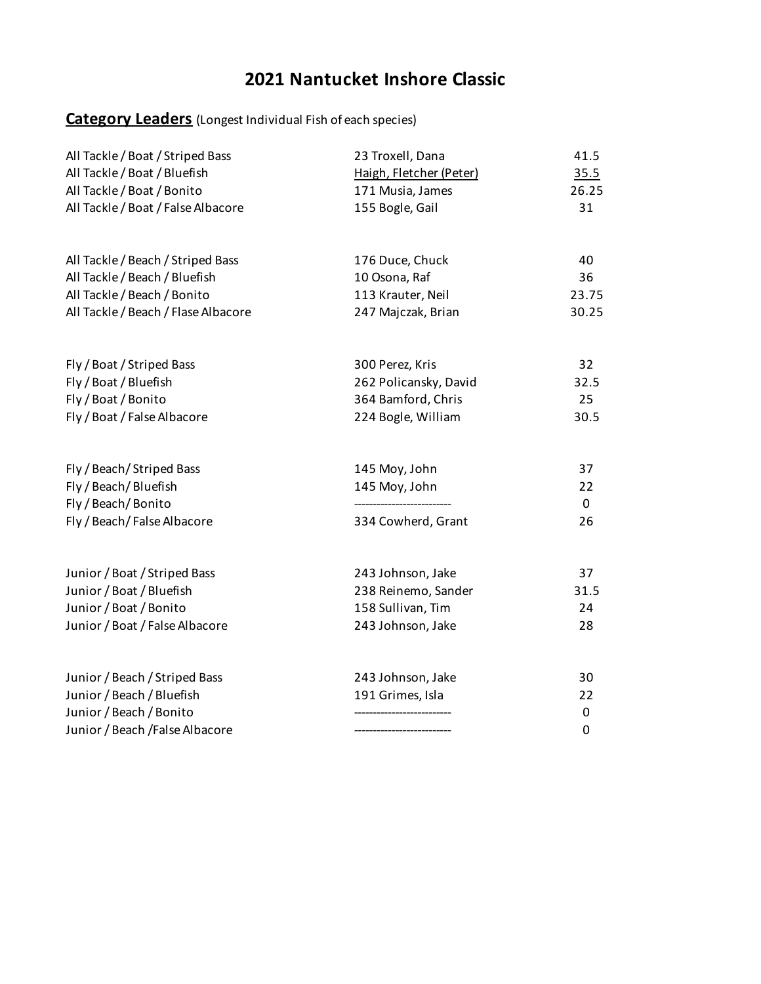## **Category Leaders** (Longest Individual Fish of each species)

| All Tackle / Boat / Striped Bass<br>All Tackle / Boat / Bluefish<br>All Tackle / Boat / Bonito<br>All Tackle / Boat / False Albacore | 23 Troxell, Dana<br>Haigh, Fletcher (Peter)<br>171 Musia, James<br>155 Bogle, Gail | 41.5<br>35.5<br>26.25<br>31 |
|--------------------------------------------------------------------------------------------------------------------------------------|------------------------------------------------------------------------------------|-----------------------------|
|                                                                                                                                      |                                                                                    |                             |
| All Tackle / Beach / Striped Bass                                                                                                    | 176 Duce, Chuck                                                                    | 40                          |
| All Tackle / Beach / Bluefish                                                                                                        | 10 Osona, Raf                                                                      | 36                          |
| All Tackle / Beach / Bonito                                                                                                          | 113 Krauter, Neil                                                                  | 23.75                       |
| All Tackle / Beach / Flase Albacore                                                                                                  | 247 Majczak, Brian                                                                 | 30.25                       |
| Fly / Boat / Striped Bass                                                                                                            | 300 Perez, Kris                                                                    | 32                          |
| Fly / Boat / Bluefish                                                                                                                | 262 Policansky, David                                                              | 32.5                        |
| Fly / Boat / Bonito                                                                                                                  | 364 Bamford, Chris                                                                 | 25                          |
| Fly / Boat / False Albacore                                                                                                          | 224 Bogle, William                                                                 | 30.5                        |
| Fly / Beach/ Striped Bass                                                                                                            | 145 Moy, John                                                                      | 37                          |
| Fly / Beach / Bluefish                                                                                                               | 145 Moy, John                                                                      | 22                          |
| Fly / Beach/Bonito                                                                                                                   |                                                                                    | 0                           |
| Fly / Beach/False Albacore                                                                                                           | 334 Cowherd, Grant                                                                 | 26                          |
| Junior / Boat / Striped Bass                                                                                                         | 243 Johnson, Jake                                                                  | 37                          |
| Junior / Boat / Bluefish                                                                                                             | 238 Reinemo, Sander                                                                | 31.5                        |
| Junior / Boat / Bonito                                                                                                               | 158 Sullivan, Tim                                                                  | 24                          |
| Junior / Boat / False Albacore                                                                                                       | 243 Johnson, Jake                                                                  | 28                          |
| Junior / Beach / Striped Bass                                                                                                        | 243 Johnson, Jake                                                                  | 30                          |
| Junior / Beach / Bluefish                                                                                                            | 191 Grimes, Isla                                                                   | 22                          |
| Junior / Beach / Bonito<br>Junior / Beach / False Albacore                                                                           |                                                                                    | 0<br>$\mathbf 0$            |
|                                                                                                                                      |                                                                                    |                             |